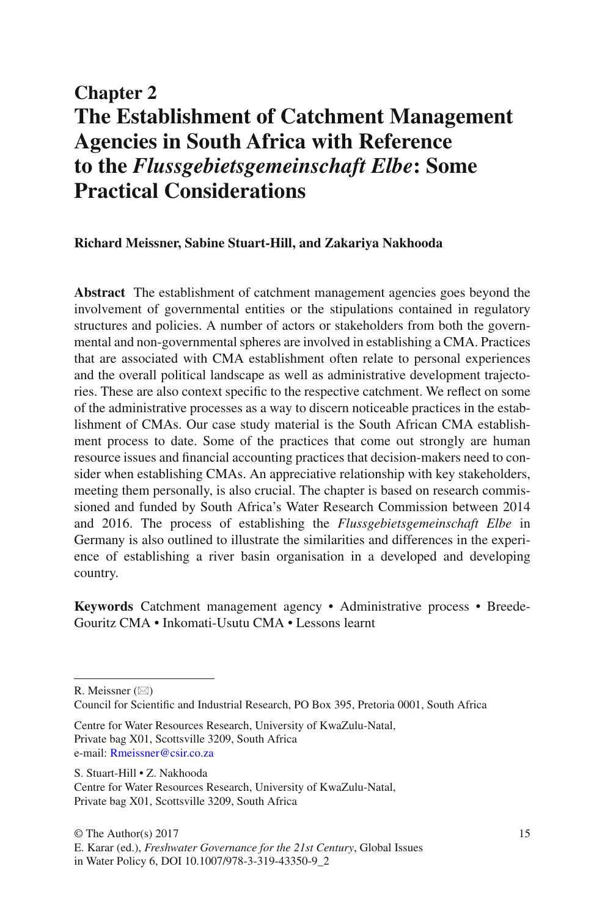# **Chapter 2 The Establishment of Catchment Management Agencies in South Africa with Reference to the** *Flussgebietsgemeinschaft Elbe* **: Some Practical Considerations**

#### **Richard Meissner , Sabine Stuart-Hill , and Zakariya Nakhooda**

 **Abstract** The establishment of catchment management agencies goes beyond the involvement of governmental entities or the stipulations contained in regulatory structures and policies. A number of actors or stakeholders from both the governmental and non-governmental spheres are involved in establishing a CMA. Practices that are associated with CMA establishment often relate to personal experiences and the overall political landscape as well as administrative development trajectories. These are also context specific to the respective catchment. We reflect on some of the administrative processes as a way to discern noticeable practices in the establishment of CMAs. Our case study material is the South African CMA establishment process to date. Some of the practices that come out strongly are human resource issues and financial accounting practices that decision-makers need to consider when establishing CMAs. An appreciative relationship with key stakeholders, meeting them personally, is also crucial. The chapter is based on research commissioned and funded by South Africa's Water Research Commission between 2014 and 2016. The process of establishing the *Flussgebietsgemeinschaft Elbe* in Germany is also outlined to illustrate the similarities and differences in the experience of establishing a river basin organisation in a developed and developing country.

 **Keywords** Catchment management agency • Administrative process • Breede-Gouritz CMA • Inkomati-Usutu CMA • Lessons learnt

R. Meissner  $(\boxtimes)$ 

Council for Scientific and Industrial Research, PO Box 395, Pretoria 0001, South Africa

 S. Stuart-Hill • Z. Nakhooda Centre for Water Resources Research, University of KwaZulu-Natal, Private bag X01, Scottsville 3209, South Africa

Centre for Water Resources Research, University of KwaZulu-Natal, Private bag X01, Scottsville 3209, South Africa e-mail: [Rmeissner@csir.co.za](mailto:Rmeissner@csir.co.za)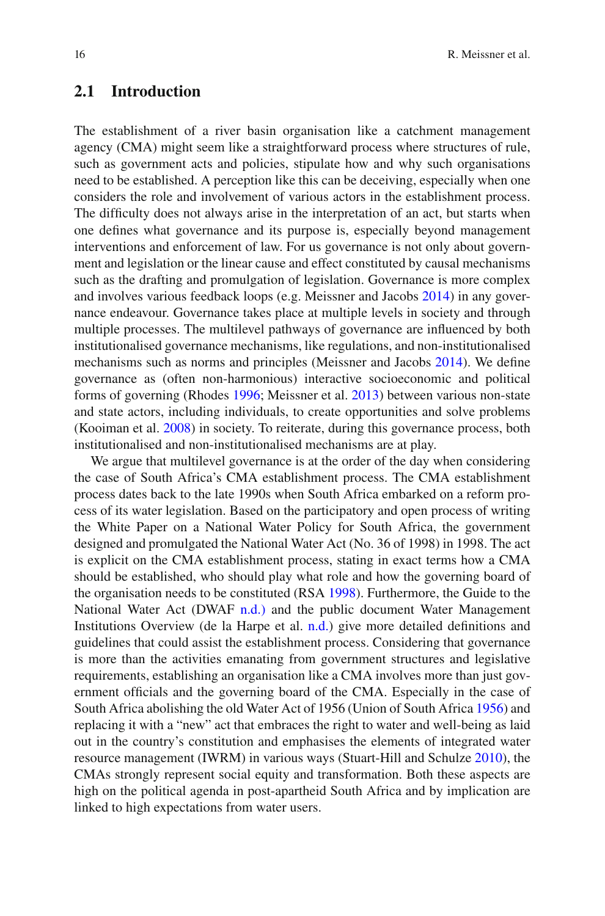## **2.1 Introduction**

 The establishment of a river basin organisation like a catchment management agency (CMA) might seem like a straightforward process where structures of rule, such as government acts and policies, stipulate how and why such organisations need to be established. A perception like this can be deceiving, especially when one considers the role and involvement of various actors in the establishment process. The difficulty does not always arise in the interpretation of an act, but starts when one defines what governance and its purpose is, especially beyond management interventions and enforcement of law. For us governance is not only about government and legislation or the linear cause and effect constituted by causal mechanisms such as the drafting and promulgation of legislation. Governance is more complex and involves various feedback loops (e.g. Meissner and Jacobs 2014) in any governance endeavour. Governance takes place at multiple levels in society and through multiple processes. The multilevel pathways of governance are influenced by both institutionalised governance mechanisms, like regulations, and non-institutionalised mechanisms such as norms and principles (Meissner and Jacobs [2014](#page-12-0)). We define governance as (often non-harmonious) interactive socioeconomic and political forms of governing (Rhodes [1996](#page-13-0); Meissner et al. 2013) between various non-state and state actors, including individuals, to create opportunities and solve problems (Kooiman et al. 2008) in society. To reiterate, during this governance process, both institutionalised and non-institutionalised mechanisms are at play.

 We argue that multilevel governance is at the order of the day when considering the case of South Africa's CMA establishment process. The CMA establishment process dates back to the late 1990s when South Africa embarked on a reform process of its water legislation. Based on the participatory and open process of writing the White Paper on a National Water Policy for South Africa, the government designed and promulgated the National Water Act (No. 36 of 1998) in 1998. The act is explicit on the CMA establishment process, stating in exact terms how a CMA should be established, who should play what role and how the governing board of the organisation needs to be constituted (RSA 1998). Furthermore, the Guide to the National Water Act (DWAF [n.d.\)](#page-12-0) and the public document Water Management Institutions Overview (de la Harpe et al.  $n.d.$ ) give more detailed definitions and guidelines that could assist the establishment process. Considering that governance is more than the activities emanating from government structures and legislative requirements, establishing an organisation like a CMA involves more than just government officials and the governing board of the CMA. Especially in the case of South Africa abolishing the old Water Act of 1956 (Union of South Africa [1956 \)](#page-13-0) and replacing it with a "new" act that embraces the right to water and well-being as laid out in the country's constitution and emphasises the elements of integrated water resource management (IWRM) in various ways (Stuart-Hill and Schulze [2010](#page-13-0)), the CMAs strongly represent social equity and transformation. Both these aspects are high on the political agenda in post-apartheid South Africa and by implication are linked to high expectations from water users.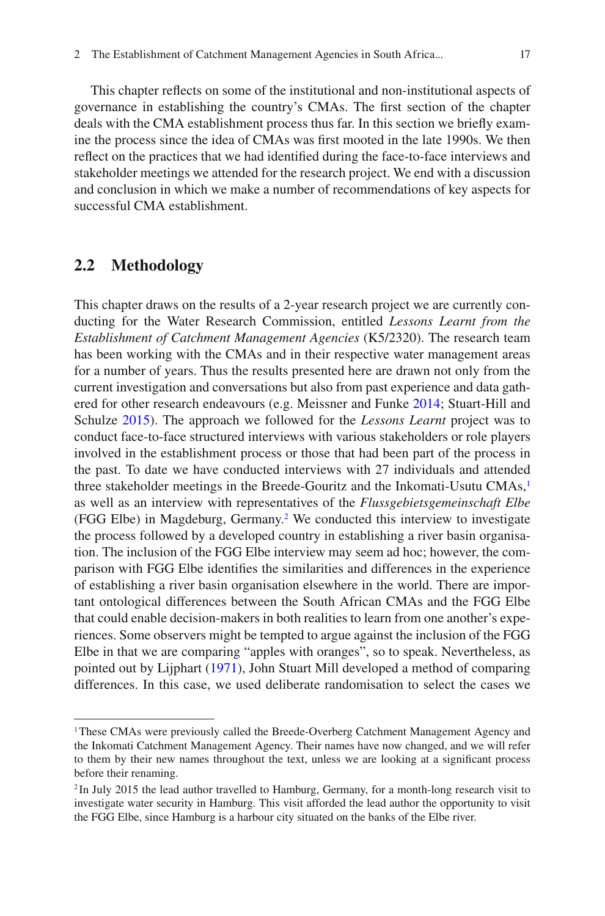This chapter reflects on some of the institutional and non-institutional aspects of governance in establishing the country's CMAs. The first section of the chapter deals with the CMA establishment process thus far. In this section we briefly examine the process since the idea of CMAs was first mooted in the late 1990s. We then reflect on the practices that we had identified during the face-to-face interviews and stakeholder meetings we attended for the research project. We end with a discussion and conclusion in which we make a number of recommendations of key aspects for successful CMA establishment.

## **2.2 Methodology**

 This chapter draws on the results of a 2-year research project we are currently conducting for the Water Research Commission, entitled *Lessons Learnt from the Establishment of Catchment Management Agencies* (K5/2320). The research team has been working with the CMAs and in their respective water management areas for a number of years. Thus the results presented here are drawn not only from the current investigation and conversations but also from past experience and data gathered for other research endeavours (e.g. Meissner and Funke [2014](#page-12-0) ; Stuart-Hill and Schulze [2015](#page-13-0) ). The approach we followed for the *Lessons Learnt* project was to conduct face-to-face structured interviews with various stakeholders or role players involved in the establishment process or those that had been part of the process in the past. To date we have conducted interviews with 27 individuals and attended three stakeholder meetings in the Breede-Gouritz and the Inkomati-Usutu CMAs, 1 as well as an interview with representatives of the *Flussgebietsgemeinschaft Elbe*  $(FGG$  Elbe) in Magdeburg, Germany.<sup>2</sup> We conducted this interview to investigate the process followed by a developed country in establishing a river basin organisation. The inclusion of the FGG Elbe interview may seem ad hoc; however, the comparison with FGG Elbe identifies the similarities and differences in the experience of establishing a river basin organisation elsewhere in the world. There are important ontological differences between the South African CMAs and the FGG Elbe that could enable decision-makers in both realities to learn from one another's experiences. Some observers might be tempted to argue against the inclusion of the FGG Elbe in that we are comparing "apples with oranges", so to speak. Nevertheless, as pointed out by Lijphart ( [1971 \)](#page-12-0), John Stuart Mill developed a method of comparing differences. In this case, we used deliberate randomisation to select the cases we

<sup>&</sup>lt;sup>1</sup>These CMAs were previously called the Breede-Overberg Catchment Management Agency and the Inkomati Catchment Management Agency. Their names have now changed, and we will refer to them by their new names throughout the text, unless we are looking at a significant process before their renaming.

<sup>&</sup>lt;sup>2</sup>In July 2015 the lead author travelled to Hamburg, Germany, for a month-long research visit to investigate water security in Hamburg. This visit afforded the lead author the opportunity to visit the FGG Elbe, since Hamburg is a harbour city situated on the banks of the Elbe river.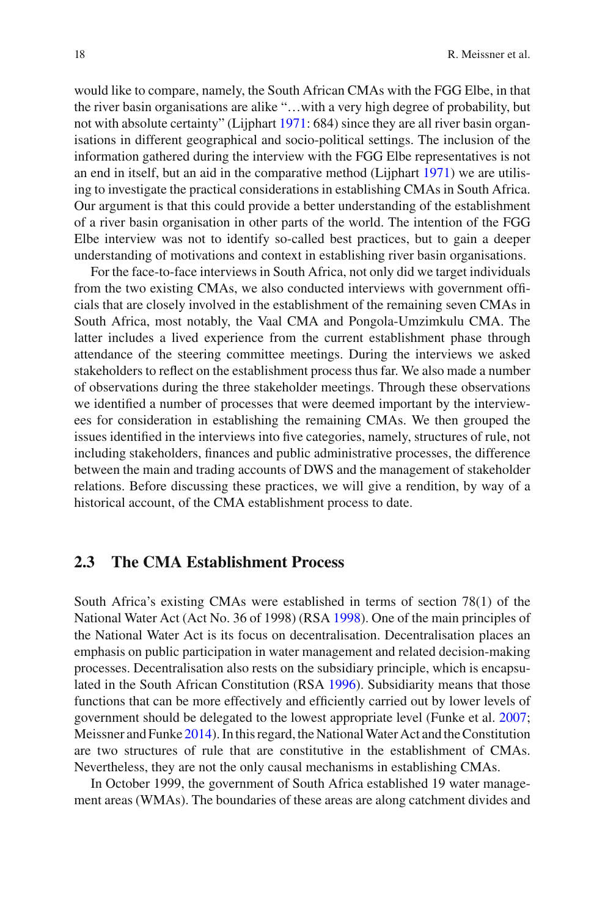would like to compare, namely, the South African CMAs with the FGG Elbe, in that the river basin organisations are alike "…with a very high degree of probability, but not with absolute certainty" (Lijphart [1971 :](#page-12-0) 684) since they are all river basin organisations in different geographical and socio-political settings. The inclusion of the information gathered during the interview with the FGG Elbe representatives is not an end in itself, but an aid in the comparative method (Lijphart [1971](#page-12-0)) we are utilising to investigate the practical considerations in establishing CMAs in South Africa. Our argument is that this could provide a better understanding of the establishment of a river basin organisation in other parts of the world. The intention of the FGG Elbe interview was not to identify so-called best practices, but to gain a deeper understanding of motivations and context in establishing river basin organisations.

 For the face-to-face interviews in South Africa, not only did we target individuals from the two existing CMAs, we also conducted interviews with government officials that are closely involved in the establishment of the remaining seven CMAs in South Africa, most notably, the Vaal CMA and Pongola-Umzimkulu CMA. The latter includes a lived experience from the current establishment phase through attendance of the steering committee meetings. During the interviews we asked stakeholders to reflect on the establishment process thus far. We also made a number of observations during the three stakeholder meetings. Through these observations we identified a number of processes that were deemed important by the interviewees for consideration in establishing the remaining CMAs. We then grouped the issues identified in the interviews into five categories, namely, structures of rule, not including stakeholders, finances and public administrative processes, the difference between the main and trading accounts of DWS and the management of stakeholder relations. Before discussing these practices, we will give a rendition, by way of a historical account, of the CMA establishment process to date.

#### **2.3 The CMA Establishment Process**

 South Africa's existing CMAs were established in terms of section 78(1) of the National Water Act (Act No. 36 of [1998](#page-13-0)) (RSA 1998). One of the main principles of the National Water Act is its focus on decentralisation. Decentralisation places an emphasis on public participation in water management and related decision-making processes. Decentralisation also rests on the subsidiary principle, which is encapsulated in the South African Constitution (RSA 1996). Subsidiarity means that those functions that can be more effectively and efficiently carried out by lower levels of government should be delegated to the lowest appropriate level (Funke et al. 2007; Meissner and Funke [2014](#page-12-0) ). In this regard, the National Water Act and the Constitution are two structures of rule that are constitutive in the establishment of CMAs. Nevertheless, they are not the only causal mechanisms in establishing CMAs.

 In October 1999, the government of South Africa established 19 water management areas (WMAs). The boundaries of these areas are along catchment divides and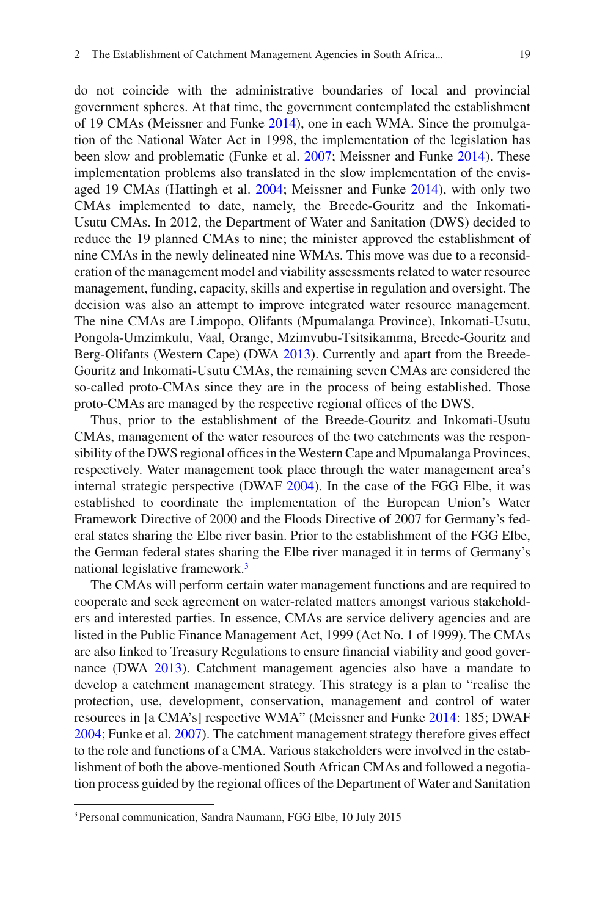do not coincide with the administrative boundaries of local and provincial government spheres. At that time, the government contemplated the establishment of 19 CMAs (Meissner and Funke [2014](#page-12-0) ), one in each WMA. Since the promulgation of the National Water Act in 1998, the implementation of the legislation has been slow and problematic (Funke et al. [2007](#page-12-0); Meissner and Funke 2014). These implementation problems also translated in the slow implementation of the envisaged 19 CMAs (Hattingh et al. 2004; Meissner and Funke 2014), with only two CMAs implemented to date, namely, the Breede-Gouritz and the Inkomati-Usutu CMAs. In 2012, the Department of Water and Sanitation (DWS) decided to reduce the 19 planned CMAs to nine; the minister approved the establishment of nine CMAs in the newly delineated nine WMAs. This move was due to a reconsideration of the management model and viability assessments related to water resource management, funding, capacity, skills and expertise in regulation and oversight. The decision was also an attempt to improve integrated water resource management. The nine CMAs are Limpopo, Olifants (Mpumalanga Province), Inkomati-Usutu, Pongola-Umzimkulu, Vaal, Orange, Mzimvubu-Tsitsikamma, Breede-Gouritz and Berg-Olifants (Western Cape) (DWA 2013). Currently and apart from the Breede-Gouritz and Inkomati-Usutu CMAs, the remaining seven CMAs are considered the so-called proto-CMAs since they are in the process of being established. Those proto-CMAs are managed by the respective regional offices of the DWS.

 Thus, prior to the establishment of the Breede-Gouritz and Inkomati-Usutu CMAs, management of the water resources of the two catchments was the responsibility of the DWS regional offices in the Western Cape and Mpumalanga Provinces, respectively. Water management took place through the water management area's internal strategic perspective (DWAF [2004](#page-12-0)). In the case of the FGG Elbe, it was established to coordinate the implementation of the European Union's Water Framework Directive of 2000 and the Floods Directive of 2007 for Germany's federal states sharing the Elbe river basin. Prior to the establishment of the FGG Elbe, the German federal states sharing the Elbe river managed it in terms of Germany's national legislative framework. 3

 The CMAs will perform certain water management functions and are required to cooperate and seek agreement on water-related matters amongst various stakeholders and interested parties. In essence, CMAs are service delivery agencies and are listed in the Public Finance Management Act, 1999 (Act No. 1 of 1999). The CMAs are also linked to Treasury Regulations to ensure financial viability and good gover-nance (DWA [2013](#page-12-0)). Catchment management agencies also have a mandate to develop a catchment management strategy. This strategy is a plan to "realise the protection, use, development, conservation, management and control of water resources in [a CMA's] respective WMA" (Meissner and Funke 2014: 185; DWAF 2004; Funke et al. 2007). The catchment management strategy therefore gives effect to the role and functions of a CMA. Various stakeholders were involved in the establishment of both the above-mentioned South African CMAs and followed a negotiation process guided by the regional offices of the Department of Water and Sanitation

<sup>3</sup> Personal communication, Sandra Naumann, FGG Elbe, 10 July 2015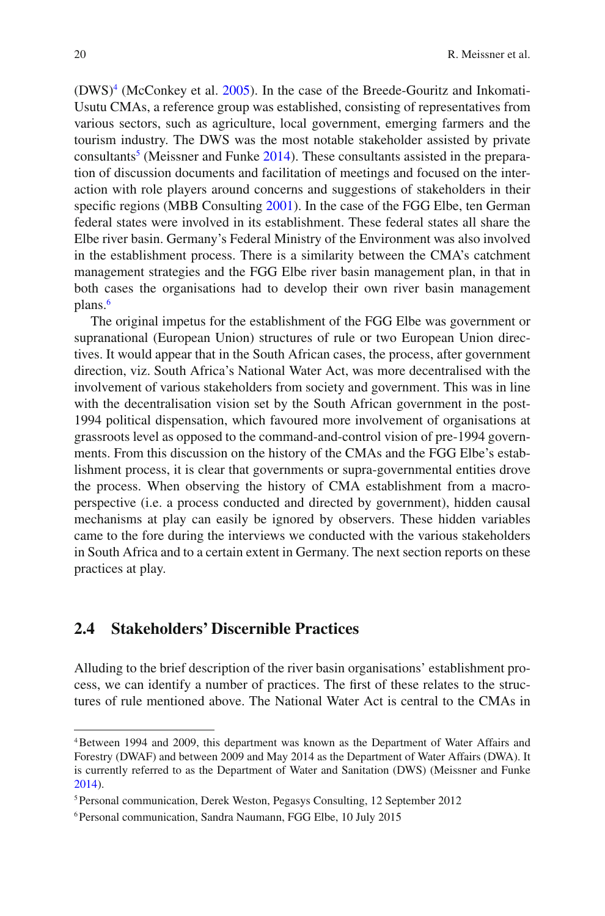$(DWS)^4$  (McConkey et al. 2005). In the case of the Breede-Gouritz and Inkomati-Usutu CMAs, a reference group was established, consisting of representatives from various sectors, such as agriculture, local government, emerging farmers and the tourism industry. The DWS was the most notable stakeholder assisted by private consultants<sup>5</sup> (Meissner and Funke [2014](#page-12-0)). These consultants assisted in the preparation of discussion documents and facilitation of meetings and focused on the interaction with role players around concerns and suggestions of stakeholders in their specific regions (MBB Consulting [2001](#page-12-0)). In the case of the FGG Elbe, ten German federal states were involved in its establishment. These federal states all share the Elbe river basin. Germany's Federal Ministry of the Environment was also involved in the establishment process. There is a similarity between the CMA's catchment management strategies and the FGG Elbe river basin management plan, in that in both cases the organisations had to develop their own river basin management plans. 6

 The original impetus for the establishment of the FGG Elbe was government or supranational (European Union) structures of rule or two European Union directives. It would appear that in the South African cases, the process, after government direction, viz. South Africa's National Water Act, was more decentralised with the involvement of various stakeholders from society and government. This was in line with the decentralisation vision set by the South African government in the post-1994 political dispensation, which favoured more involvement of organisations at grassroots level as opposed to the command-and-control vision of pre-1994 governments. From this discussion on the history of the CMAs and the FGG Elbe's establishment process, it is clear that governments or supra-governmental entities drove the process. When observing the history of CMA establishment from a macroperspective (i.e. a process conducted and directed by government), hidden causal mechanisms at play can easily be ignored by observers. These hidden variables came to the fore during the interviews we conducted with the various stakeholders in South Africa and to a certain extent in Germany. The next section reports on these practices at play.

## **2.4 Stakeholders' Discernible Practices**

 Alluding to the brief description of the river basin organisations' establishment process, we can identify a number of practices. The first of these relates to the structures of rule mentioned above. The National Water Act is central to the CMAs in

<sup>4</sup> Between 1994 and 2009, this department was known as the Department of Water Affairs and Forestry (DWAF) and between 2009 and May 2014 as the Department of Water Affairs (DWA). It is currently referred to as the Department of Water and Sanitation (DWS) (Meissner and Funke 2014).

<sup>5</sup> Personal communication, Derek Weston, Pegasys Consulting, 12 September 2012

<sup>6</sup> Personal communication, Sandra Naumann, FGG Elbe, 10 July 2015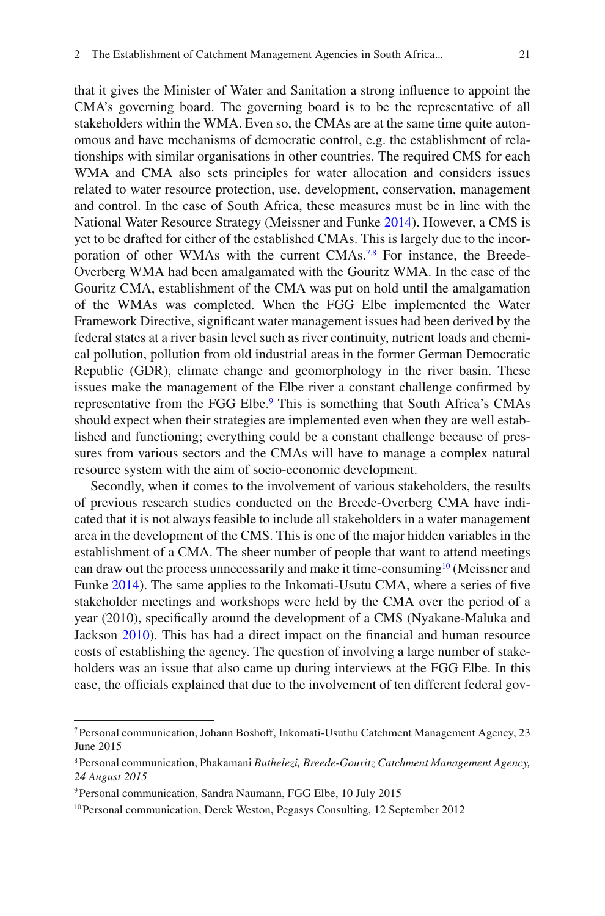that it gives the Minister of Water and Sanitation a strong influence to appoint the CMA's governing board. The governing board is to be the representative of all stakeholders within the WMA. Even so, the CMAs are at the same time quite autonomous and have mechanisms of democratic control, e.g. the establishment of relationships with similar organisations in other countries. The required CMS for each WMA and CMA also sets principles for water allocation and considers issues related to water resource protection, use, development, conservation, management and control. In the case of South Africa, these measures must be in line with the National Water Resource Strategy (Meissner and Funke [2014](#page-12-0) ). However, a CMS is yet to be drafted for either of the established CMAs. This is largely due to the incorporation of other WMAs with the current CMAs.<sup>7,8</sup> For instance, the Breede-Overberg WMA had been amalgamated with the Gouritz WMA. In the case of the Gouritz CMA, establishment of the CMA was put on hold until the amalgamation of the WMAs was completed. When the FGG Elbe implemented the Water Framework Directive, significant water management issues had been derived by the federal states at a river basin level such as river continuity, nutrient loads and chemical pollution, pollution from old industrial areas in the former German Democratic Republic (GDR), climate change and geomorphology in the river basin. These issues make the management of the Elbe river a constant challenge confirmed by representative from the FGG Elbe.<sup>9</sup> This is something that South Africa's CMAs should expect when their strategies are implemented even when they are well established and functioning; everything could be a constant challenge because of pressures from various sectors and the CMAs will have to manage a complex natural resource system with the aim of socio-economic development.

 Secondly, when it comes to the involvement of various stakeholders, the results of previous research studies conducted on the Breede-Overberg CMA have indicated that it is not always feasible to include all stakeholders in a water management area in the development of the CMS. This is one of the major hidden variables in the establishment of a CMA. The sheer number of people that want to attend meetings can draw out the process unnecessarily and make it time-consuming 10 (Meissner and Funke [2014](#page-12-0)). The same applies to the Inkomati-Usutu CMA, where a series of five stakeholder meetings and workshops were held by the CMA over the period of a year (2010), specifically around the development of a CMS (Nyakane-Maluka and Jackson  $2010$ ). This has had a direct impact on the financial and human resource costs of establishing the agency. The question of involving a large number of stakeholders was an issue that also came up during interviews at the FGG Elbe. In this case, the officials explained that due to the involvement of ten different federal gov-

<sup>7</sup> Personal communication, Johann Boshoff, Inkomati-Usuthu Catchment Management Agency, 23 June 2015

<sup>8</sup> Personal communication, Phakamani *Buthelezi, Breede-Gouritz Catchment Management Agency, 24 August 2015*

<sup>9</sup> Personal communication, Sandra Naumann, FGG Elbe, 10 July 2015

<sup>10</sup> Personal communication, Derek Weston, Pegasys Consulting, 12 September 2012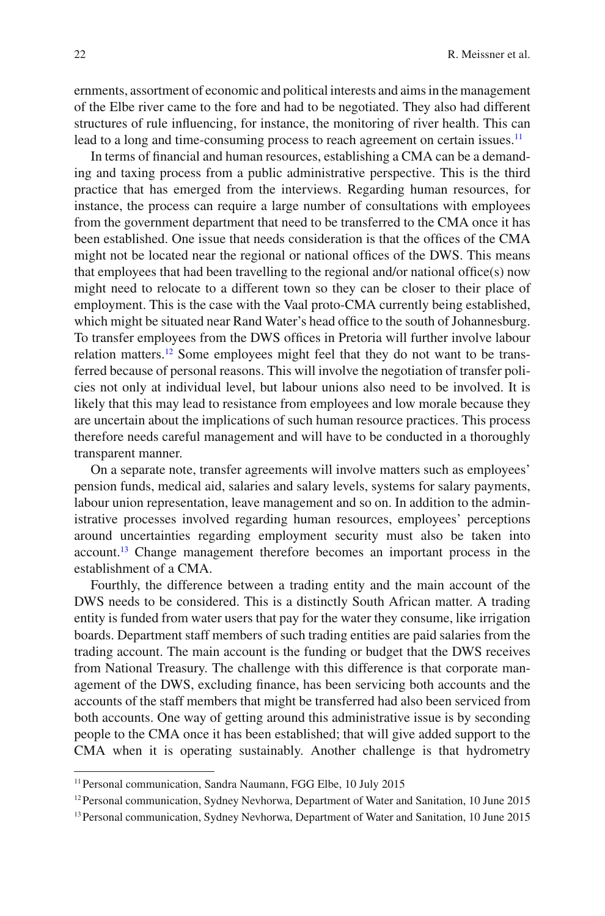ernments, assortment of economic and political interests and aims in the management of the Elbe river came to the fore and had to be negotiated. They also had different structures of rule influencing, for instance, the monitoring of river health. This can lead to a long and time-consuming process to reach agreement on certain issues.<sup>11</sup>

In terms of financial and human resources, establishing a CMA can be a demanding and taxing process from a public administrative perspective. This is the third practice that has emerged from the interviews. Regarding human resources, for instance, the process can require a large number of consultations with employees from the government department that need to be transferred to the CMA once it has been established. One issue that needs consideration is that the offices of the CMA might not be located near the regional or national offices of the DWS. This means that employees that had been travelling to the regional and/or national office(s) now might need to relocate to a different town so they can be closer to their place of employment. This is the case with the Vaal proto-CMA currently being established, which might be situated near Rand Water's head office to the south of Johannesburg. To transfer employees from the DWS offices in Pretoria will further involve labour relation matters.<sup>12</sup> Some employees might feel that they do not want to be transferred because of personal reasons. This will involve the negotiation of transfer policies not only at individual level, but labour unions also need to be involved. It is likely that this may lead to resistance from employees and low morale because they are uncertain about the implications of such human resource practices. This process therefore needs careful management and will have to be conducted in a thoroughly transparent manner.

 On a separate note, transfer agreements will involve matters such as employees' pension funds, medical aid, salaries and salary levels, systems for salary payments, labour union representation, leave management and so on. In addition to the administrative processes involved regarding human resources, employees' perceptions around uncertainties regarding employment security must also be taken into account. 13 Change management therefore becomes an important process in the establishment of a CMA.

 Fourthly, the difference between a trading entity and the main account of the DWS needs to be considered. This is a distinctly South African matter. A trading entity is funded from water users that pay for the water they consume, like irrigation boards. Department staff members of such trading entities are paid salaries from the trading account. The main account is the funding or budget that the DWS receives from National Treasury. The challenge with this difference is that corporate management of the DWS, excluding finance, has been servicing both accounts and the accounts of the staff members that might be transferred had also been serviced from both accounts. One way of getting around this administrative issue is by seconding people to the CMA once it has been established; that will give added support to the CMA when it is operating sustainably. Another challenge is that hydrometry

<sup>11</sup> Personal communication, Sandra Naumann, FGG Elbe, 10 July 2015

<sup>&</sup>lt;sup>12</sup> Personal communication, Sydney Nevhorwa, Department of Water and Sanitation, 10 June 2015

<sup>&</sup>lt;sup>13</sup> Personal communication, Sydney Nevhorwa, Department of Water and Sanitation, 10 June 2015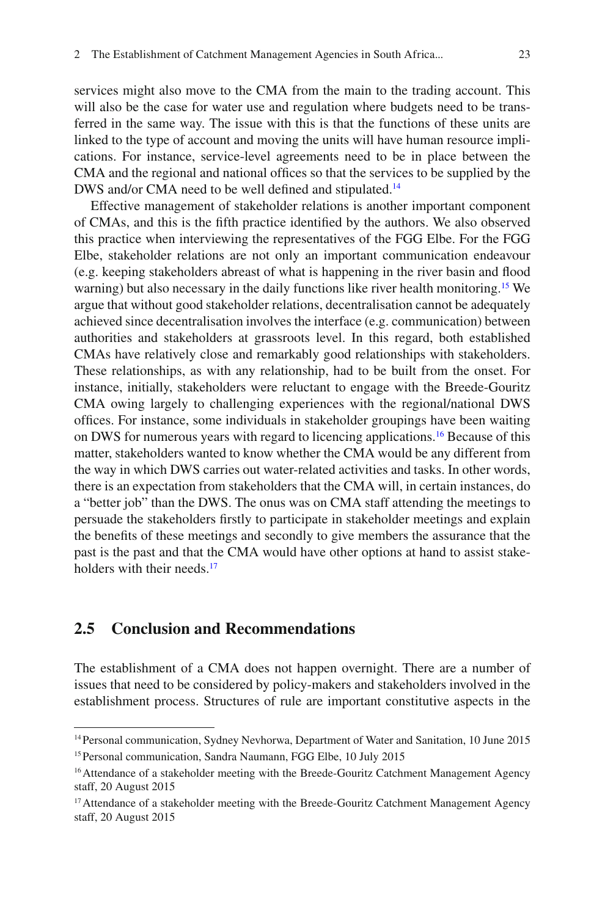services might also move to the CMA from the main to the trading account. This will also be the case for water use and regulation where budgets need to be transferred in the same way. The issue with this is that the functions of these units are linked to the type of account and moving the units will have human resource implications. For instance, service-level agreements need to be in place between the CMA and the regional and national offices so that the services to be supplied by the DWS and/or CMA need to be well defined and stipulated.<sup>14</sup>

 Effective management of stakeholder relations is another important component of CMAs, and this is the fifth practice identified by the authors. We also observed this practice when interviewing the representatives of the FGG Elbe. For the FGG Elbe, stakeholder relations are not only an important communication endeavour (e.g. keeping stakeholders abreast of what is happening in the river basin and flood warning) but also necessary in the daily functions like river health monitoring.<sup>15</sup> We argue that without good stakeholder relations, decentralisation cannot be adequately achieved since decentralisation involves the interface (e.g. communication) between authorities and stakeholders at grassroots level. In this regard, both established CMAs have relatively close and remarkably good relationships with stakeholders. These relationships, as with any relationship, had to be built from the onset. For instance, initially, stakeholders were reluctant to engage with the Breede-Gouritz CMA owing largely to challenging experiences with the regional/national DWS offices. For instance, some individuals in stakeholder groupings have been waiting on DWS for numerous years with regard to licencing applications. 16 Because of this matter, stakeholders wanted to know whether the CMA would be any different from the way in which DWS carries out water-related activities and tasks. In other words, there is an expectation from stakeholders that the CMA will, in certain instances, do a "better job" than the DWS. The onus was on CMA staff attending the meetings to persuade the stakeholders firstly to participate in stakeholder meetings and explain the benefits of these meetings and secondly to give members the assurance that the past is the past and that the CMA would have other options at hand to assist stakeholders with their needs.<sup>17</sup>

### **2.5 Conclusion and Recommendations**

 The establishment of a CMA does not happen overnight. There are a number of issues that need to be considered by policy-makers and stakeholders involved in the establishment process. Structures of rule are important constitutive aspects in the

<sup>14</sup> Personal communication, Sydney Nevhorwa, Department of Water and Sanitation, 10 June 2015 15 Personal communication, Sandra Naumann, FGG Elbe, 10 July 2015

<sup>&</sup>lt;sup>16</sup> Attendance of a stakeholder meeting with the Breede-Gouritz Catchment Management Agency staff, 20 August 2015

<sup>&</sup>lt;sup>17</sup> Attendance of a stakeholder meeting with the Breede-Gouritz Catchment Management Agency staff, 20 August 2015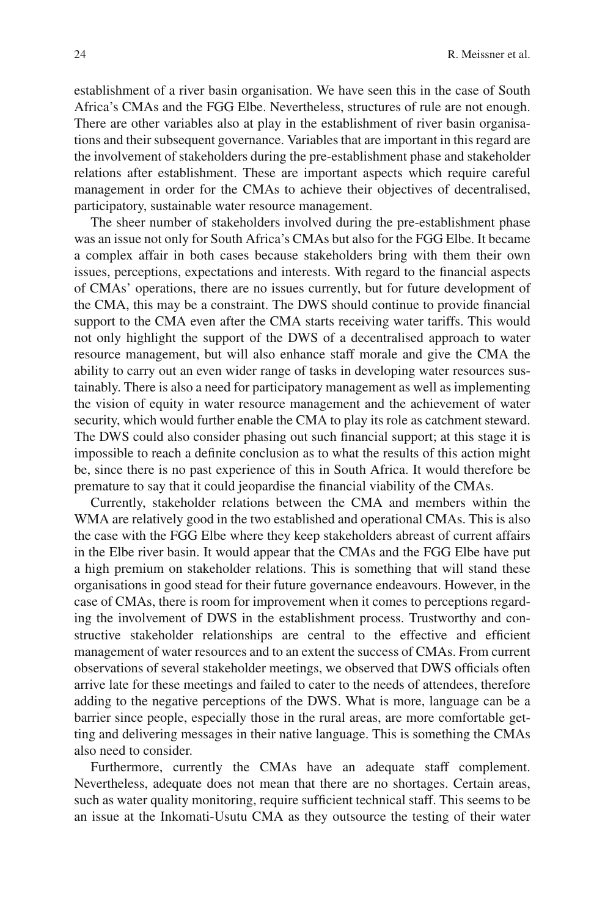establishment of a river basin organisation. We have seen this in the case of South Africa's CMAs and the FGG Elbe. Nevertheless, structures of rule are not enough. There are other variables also at play in the establishment of river basin organisations and their subsequent governance. Variables that are important in this regard are the involvement of stakeholders during the pre-establishment phase and stakeholder relations after establishment. These are important aspects which require careful management in order for the CMAs to achieve their objectives of decentralised, participatory, sustainable water resource management.

 The sheer number of stakeholders involved during the pre-establishment phase was an issue not only for South Africa's CMAs but also for the FGG Elbe. It became a complex affair in both cases because stakeholders bring with them their own issues, perceptions, expectations and interests. With regard to the financial aspects of CMAs' operations, there are no issues currently, but for future development of the CMA, this may be a constraint. The DWS should continue to provide financial support to the CMA even after the CMA starts receiving water tariffs. This would not only highlight the support of the DWS of a decentralised approach to water resource management, but will also enhance staff morale and give the CMA the ability to carry out an even wider range of tasks in developing water resources sustainably. There is also a need for participatory management as well as implementing the vision of equity in water resource management and the achievement of water security, which would further enable the CMA to play its role as catchment steward. The DWS could also consider phasing out such financial support; at this stage it is impossible to reach a definite conclusion as to what the results of this action might be, since there is no past experience of this in South Africa. It would therefore be premature to say that it could jeopardise the financial viability of the CMAs.

 Currently, stakeholder relations between the CMA and members within the WMA are relatively good in the two established and operational CMAs. This is also the case with the FGG Elbe where they keep stakeholders abreast of current affairs in the Elbe river basin. It would appear that the CMAs and the FGG Elbe have put a high premium on stakeholder relations. This is something that will stand these organisations in good stead for their future governance endeavours. However, in the case of CMAs, there is room for improvement when it comes to perceptions regarding the involvement of DWS in the establishment process. Trustworthy and constructive stakeholder relationships are central to the effective and efficient management of water resources and to an extent the success of CMAs. From current observations of several stakeholder meetings, we observed that DWS officials often arrive late for these meetings and failed to cater to the needs of attendees, therefore adding to the negative perceptions of the DWS. What is more, language can be a barrier since people, especially those in the rural areas, are more comfortable getting and delivering messages in their native language. This is something the CMAs also need to consider.

 Furthermore, currently the CMAs have an adequate staff complement. Nevertheless, adequate does not mean that there are no shortages. Certain areas, such as water quality monitoring, require sufficient technical staff. This seems to be an issue at the Inkomati-Usutu CMA as they outsource the testing of their water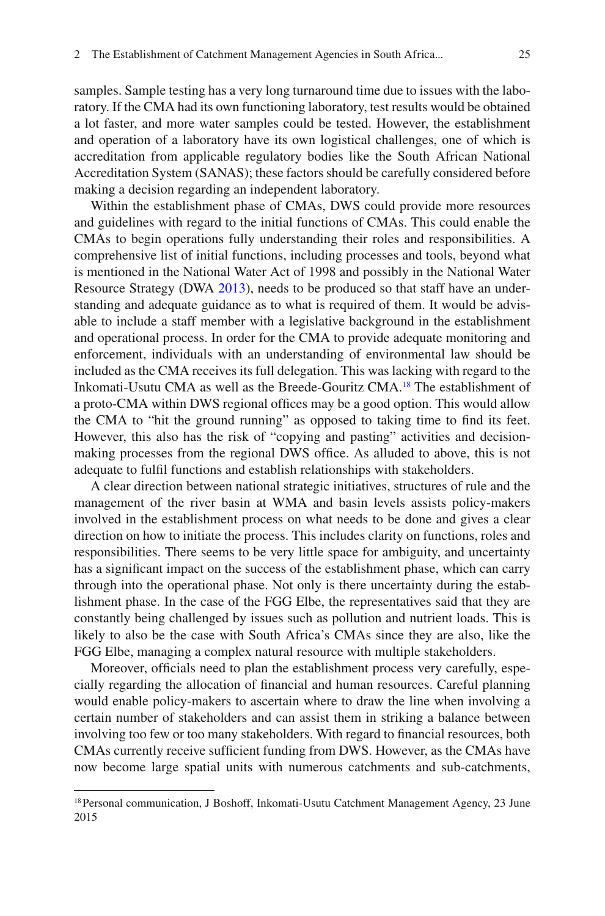samples. Sample testing has a very long turnaround time due to issues with the laboratory. If the CMA had its own functioning laboratory, test results would be obtained a lot faster, and more water samples could be tested. However, the establishment and operation of a laboratory have its own logistical challenges, one of which is accreditation from applicable regulatory bodies like the South African National Accreditation System (SANAS); these factors should be carefully considered before making a decision regarding an independent laboratory.

 Within the establishment phase of CMAs, DWS could provide more resources and guidelines with regard to the initial functions of CMAs. This could enable the CMAs to begin operations fully understanding their roles and responsibilities. A comprehensive list of initial functions, including processes and tools, beyond what is mentioned in the National Water Act of 1998 and possibly in the National Water Resource Strategy (DWA 2013), needs to be produced so that staff have an understanding and adequate guidance as to what is required of them. It would be advisable to include a staff member with a legislative background in the establishment and operational process. In order for the CMA to provide adequate monitoring and enforcement, individuals with an understanding of environmental law should be included as the CMA receives its full delegation. This was lacking with regard to the Inkomati-Usutu CMA as well as the Breede-Gouritz CMA. 18 The establishment of a proto-CMA within DWS regional offices may be a good option. This would allow the CMA to "hit the ground running" as opposed to taking time to find its feet. However, this also has the risk of "copying and pasting" activities and decisionmaking processes from the regional DWS office. As alluded to above, this is not adequate to fulfil functions and establish relationships with stakeholders.

 A clear direction between national strategic initiatives, structures of rule and the management of the river basin at WMA and basin levels assists policy-makers involved in the establishment process on what needs to be done and gives a clear direction on how to initiate the process. This includes clarity on functions, roles and responsibilities. There seems to be very little space for ambiguity, and uncertainty has a significant impact on the success of the establishment phase, which can carry through into the operational phase. Not only is there uncertainty during the establishment phase. In the case of the FGG Elbe, the representatives said that they are constantly being challenged by issues such as pollution and nutrient loads. This is likely to also be the case with South Africa's CMAs since they are also, like the FGG Elbe, managing a complex natural resource with multiple stakeholders.

Moreover, officials need to plan the establishment process very carefully, especially regarding the allocation of financial and human resources. Careful planning would enable policy-makers to ascertain where to draw the line when involving a certain number of stakeholders and can assist them in striking a balance between involving too few or too many stakeholders. With regard to financial resources, both CMAs currently receive sufficient funding from DWS. However, as the CMAs have now become large spatial units with numerous catchments and sub-catchments,

<sup>&</sup>lt;sup>18</sup> Personal communication, J Boshoff, Inkomati-Usutu Catchment Management Agency, 23 June 2015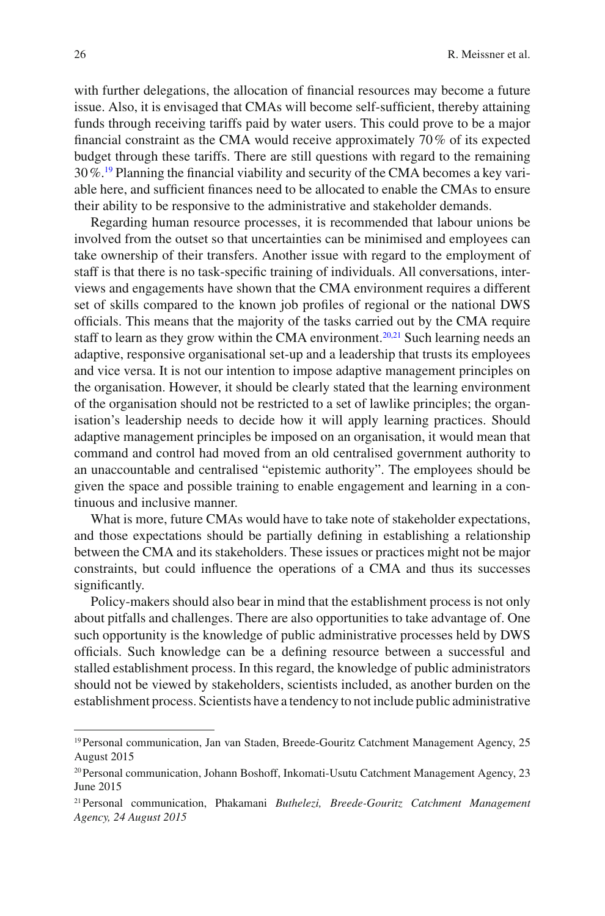with further delegations, the allocation of financial resources may become a future issue. Also, it is envisaged that CMAs will become self-sufficient, thereby attaining funds through receiving tariffs paid by water users. This could prove to be a major financial constraint as the CMA would receive approximately  $70\%$  of its expected budget through these tariffs. There are still questions with regard to the remaining  $30\%$ .<sup>19</sup> Planning the financial viability and security of the CMA becomes a key variable here, and sufficient finances need to be allocated to enable the CMAs to ensure their ability to be responsive to the administrative and stakeholder demands.

 Regarding human resource processes, it is recommended that labour unions be involved from the outset so that uncertainties can be minimised and employees can take ownership of their transfers. Another issue with regard to the employment of staff is that there is no task-specific training of individuals. All conversations, interviews and engagements have shown that the CMA environment requires a different set of skills compared to the known job profiles of regional or the national DWS officials. This means that the majority of the tasks carried out by the CMA require staff to learn as they grow within the CMA environment.<sup>20,21</sup> Such learning needs an adaptive, responsive organisational set-up and a leadership that trusts its employees and vice versa. It is not our intention to impose adaptive management principles on the organisation. However, it should be clearly stated that the learning environment of the organisation should not be restricted to a set of lawlike principles; the organisation's leadership needs to decide how it will apply learning practices. Should adaptive management principles be imposed on an organisation, it would mean that command and control had moved from an old centralised government authority to an unaccountable and centralised "epistemic authority". The employees should be given the space and possible training to enable engagement and learning in a continuous and inclusive manner.

 What is more, future CMAs would have to take note of stakeholder expectations, and those expectations should be partially defining in establishing a relationship between the CMA and its stakeholders. These issues or practices might not be major constraints, but could influence the operations of a CMA and thus its successes significantly.

 Policy-makers should also bear in mind that the establishment process is not only about pitfalls and challenges. There are also opportunities to take advantage of. One such opportunity is the knowledge of public administrative processes held by DWS officials. Such knowledge can be a defining resource between a successful and stalled establishment process. In this regard, the knowledge of public administrators should not be viewed by stakeholders, scientists included, as another burden on the establishment process. Scientists have a tendency to not include public administrative

<sup>19</sup> Personal communication, Jan van Staden, Breede-Gouritz Catchment Management Agency, 25 August 2015

<sup>20</sup> Personal communication, Johann Boshoff, Inkomati-Usutu Catchment Management Agency, 23 June 2015

<sup>21</sup> Personal communication, Phakamani *Buthelezi, Breede-Gouritz Catchment Management Agency, 24 August 2015*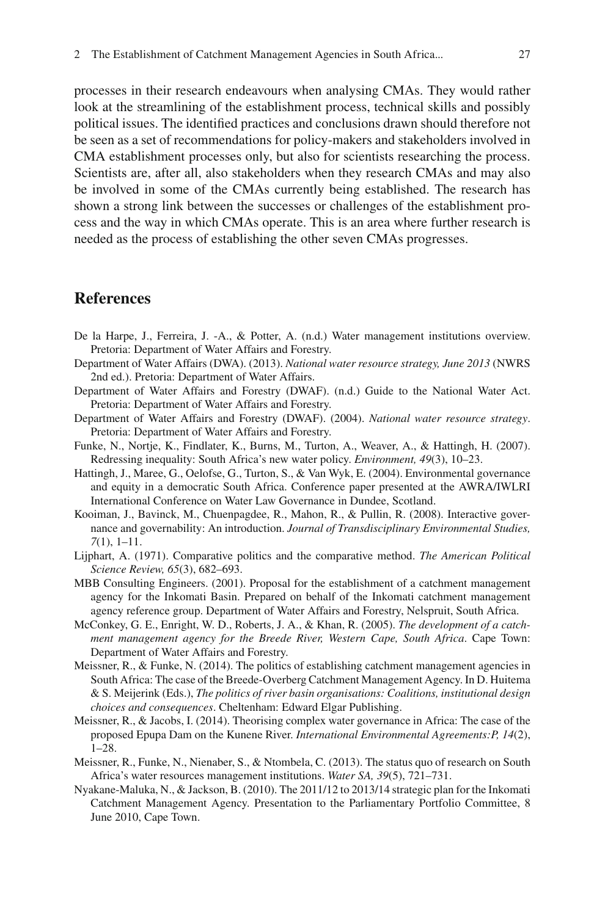<span id="page-12-0"></span>processes in their research endeavours when analysing CMAs. They would rather look at the streamlining of the establishment process, technical skills and possibly political issues. The identified practices and conclusions drawn should therefore not be seen as a set of recommendations for policy-makers and stakeholders involved in CMA establishment processes only, but also for scientists researching the process. Scientists are, after all, also stakeholders when they research CMAs and may also be involved in some of the CMAs currently being established. The research has shown a strong link between the successes or challenges of the establishment process and the way in which CMAs operate. This is an area where further research is needed as the process of establishing the other seven CMAs progresses.

#### **References**

- De la Harpe, J., Ferreira, J. -A., & Potter, A. (n.d.) Water management institutions overview. Pretoria: Department of Water Affairs and Forestry.
- Department of Water Affairs (DWA). (2013). *National water resource strategy, June 2013* (NWRS 2nd ed.). Pretoria: Department of Water Affairs.
- Department of Water Affairs and Forestry (DWAF). (n.d.) Guide to the National Water Act. Pretoria: Department of Water Affairs and Forestry.
- Department of Water Affairs and Forestry (DWAF). (2004). *National water resource strategy* . Pretoria: Department of Water Affairs and Forestry.
- Funke, N., Nortje, K., Findlater, K., Burns, M., Turton, A., Weaver, A., & Hattingh, H. (2007). Redressing inequality: South Africa's new water policy. *Environment, 49* (3), 10–23.
- Hattingh, J., Maree, G., Oelofse, G., Turton, S., & Van Wyk, E. (2004). Environmental governance and equity in a democratic South Africa. Conference paper presented at the AWRA/IWLRI International Conference on Water Law Governance in Dundee, Scotland.
- Kooiman, J., Bavinck, M., Chuenpagdee, R., Mahon, R., & Pullin, R. (2008). Interactive governance and governability: An introduction. *Journal of Transdisciplinary Environmental Studies, 7* (1), 1–11.
- Lijphart, A. (1971). Comparative politics and the comparative method. *The American Political Science Review, 65* (3), 682–693.
- MBB Consulting Engineers. (2001). Proposal for the establishment of a catchment management agency for the Inkomati Basin. Prepared on behalf of the Inkomati catchment management agency reference group. Department of Water Affairs and Forestry, Nelspruit, South Africa.
- McConkey, G. E., Enright, W. D., Roberts, J. A., & Khan, R. (2005). *The development of a catchment management agency for the Breede River, Western Cape, South Africa* . Cape Town: Department of Water Affairs and Forestry.
- Meissner, R., & Funke, N. (2014). The politics of establishing catchment management agencies in South Africa: The case of the Breede-Overberg Catchment Management Agency. In D. Huitema & S. Meijerink (Eds.), *The politics of river basin organisations: Coalitions, institutional design choices and consequences* . Cheltenham: Edward Elgar Publishing.
- Meissner, R., & Jacobs, I. (2014). Theorising complex water governance in Africa: The case of the proposed Epupa Dam on the Kunene River. *International Environmental Agreements:P, 14* (2), 1–28.
- Meissner, R., Funke, N., Nienaber, S., & Ntombela, C. (2013). The status quo of research on South Africa's water resources management institutions. Water SA, 39(5), 721-731.
- Nyakane-Maluka, N., & Jackson, B. (2010). The 2011/12 to 2013/14 strategic plan for the Inkomati Catchment Management Agency. Presentation to the Parliamentary Portfolio Committee, 8 June 2010, Cape Town.